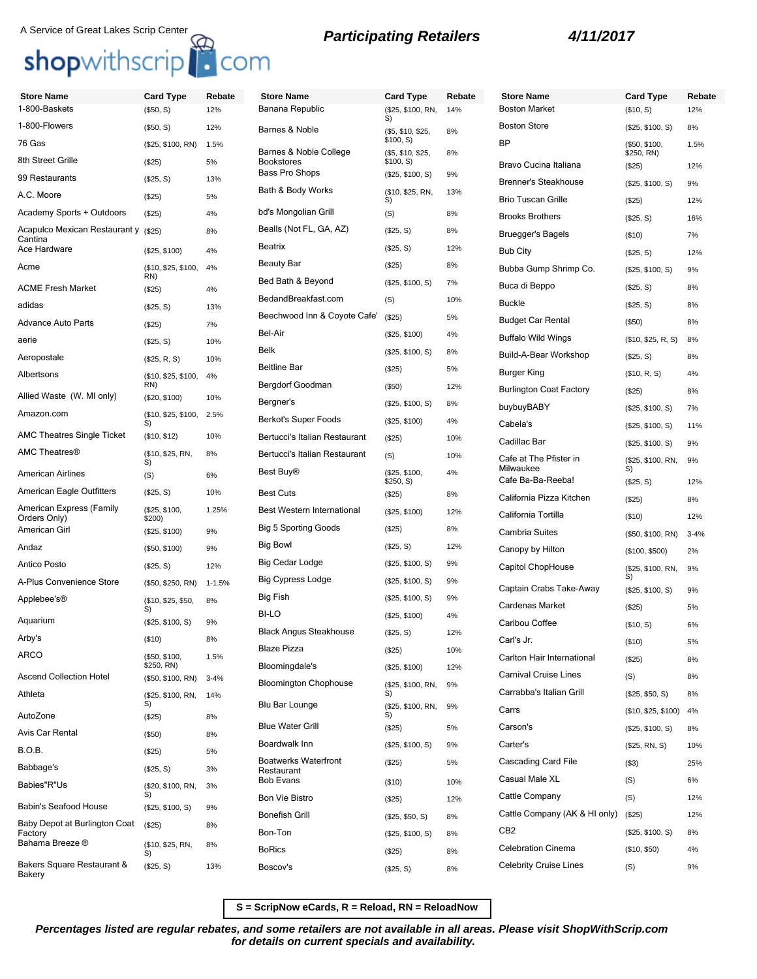# A Service of Great Lakes Scrip Center **Reparticipating Retailers 4/11/2017**<br> **Shop**withscrip **A** COM

| <b>Store Name</b>                           | <b>Card Type</b>                | Rebate     | <b>Store Name</b>                                        | Card Type                  | Rebate | <b>Store Name</b>              | <b>Card Type</b>            | Rebate   |
|---------------------------------------------|---------------------------------|------------|----------------------------------------------------------|----------------------------|--------|--------------------------------|-----------------------------|----------|
| 1-800-Baskets                               | (\$50, S)                       | 12%        | Banana Republic                                          | (\$25, \$100, RN,<br>S)    | 14%    | <b>Boston Market</b>           | (\$10, S)                   | 12%      |
| 1-800-Flowers                               | (\$50, S)                       | 12%        | Barnes & Noble<br>(\$5, \$10, \$25,                      |                            | 8%     | <b>Boston Store</b>            | (\$25, \$100, S)            | 8%       |
| 76 Gas                                      | (\$25, \$100, RN)               | 1.5%       | \$100, S)<br>Barnes & Noble College<br>(\$5, \$10, \$25, |                            | 8%     | <b>BP</b>                      | (\$50, \$100,<br>\$250, RN) | 1.5%     |
| 8th Street Grille                           | (\$25)                          | 5%         | <b>Bookstores</b><br><b>Bass Pro Shops</b>               | \$100, S)                  |        | Bravo Cucina Italiana          | (\$25)                      | 12%      |
| 99 Restaurants                              | (\$25, S)                       | 13%        |                                                          | (\$25, \$100, S)           | 9%     | <b>Brenner's Steakhouse</b>    | (\$25, \$100, S)            | 9%       |
| A.C. Moore                                  | (\$25)                          | 5%         | Bath & Body Works                                        | (\$10, \$25, RN,<br>S)     | 13%    | <b>Brio Tuscan Grille</b>      | (\$25)                      | 12%      |
| Academy Sports + Outdoors                   | (\$25)                          | 4%         | bd's Mongolian Grill                                     | (S)                        | 8%     | <b>Brooks Brothers</b>         | (\$25, S)                   | 16%      |
| Acapulco Mexican Restaurant y<br>Cantina    | (\$25)                          | 8%         | Bealls (Not FL, GA, AZ)                                  | (\$25, S)                  | 8%     | <b>Bruegger's Bagels</b>       | (\$10)                      | 7%       |
| Ace Hardware                                | (\$25, \$100)                   | 4%         | <b>Beatrix</b>                                           | (\$25, S)                  | 12%    | <b>Bub City</b>                | (\$25, S)                   | 12%      |
| Acme                                        | (\$10, \$25, \$100,<br>RN)      | 4%         | <b>Beauty Bar</b>                                        | (\$25)                     | 8%     | Bubba Gump Shrimp Co.          | (\$25, \$100, S)            | 9%       |
| ACME Fresh Market                           | (\$25)                          | 4%         | Bed Bath & Beyond                                        | (\$25, \$100, S)           | 7%     | Buca di Beppo                  | (\$25, S)                   | 8%       |
| adidas                                      | (\$25, S)                       | 13%        | BedandBreakfast.com                                      | (S)                        | 10%    | <b>Buckle</b>                  | (\$25, S)                   | 8%       |
| Advance Auto Parts                          | (\$25)                          | 7%         | Beechwood Inn & Coyote Cafe'                             | (\$25)                     | 5%     | <b>Budget Car Rental</b>       | (\$50)                      | 8%       |
| aerie                                       | (\$25, S)                       | 10%        | Bel-Air                                                  | (\$25, \$100)              | 4%     | <b>Buffalo Wild Wings</b>      | (\$10, \$25, R, S)          | 8%       |
| Aeropostale                                 | (\$25, R, S)                    | 10%        | Belk                                                     | (\$25, \$100, S)           | 8%     | Build-A-Bear Workshop          | (\$25, S)                   | 8%       |
| Albertsons                                  | (\$10, \$25, \$100,             | 4%         | <b>Beltline Bar</b>                                      | (\$25)                     | 5%     | <b>Burger King</b>             | (\$10, R, S)                | 4%       |
|                                             | RN)                             |            | Bergdorf Goodman                                         | (\$50)                     | 12%    | <b>Burlington Coat Factory</b> | (\$25)                      | 8%       |
| Allied Waste (W. MI only)                   | (\$20, \$100)                   | 10%        | Bergner's                                                | (\$25, \$100, S)           | 8%     | buybuyBABY                     | (\$25, \$100, S)            | 7%       |
| Amazon.com                                  | (\$10, \$25, \$100, 2.5%)<br>S) |            | Berkot's Super Foods                                     | (\$25, \$100)              | 4%     | Cabela's                       | (\$25, \$100, S)            | 11%      |
| <b>AMC Theatres Single Ticket</b>           | (\$10, \$12)                    | 10%        | Bertucci's Italian Restaurant                            | (\$25)                     | 10%    | Cadillac Bar                   | (\$25, \$100, S)            | 9%       |
| AMC Theatres®                               | (\$10, \$25, RN,<br>S)          | 8%         | Bertucci's Italian Restaurant                            | (S)                        | 10%    | Cafe at The Pfister in         | (\$25, \$100, RN,           | 9%       |
| American Airlines                           | (S)                             | 6%         | Best Buy®                                                | (\$25, \$100,<br>\$250, S) | 4%     | Milwaukee<br>Cafe Ba-Ba-Reeba! | S)<br>(\$25, S)             | 12%      |
| American Eagle Outfitters                   | (\$25, S)                       | 10%        | <b>Best Cuts</b>                                         | (\$25)                     | 8%     | California Pizza Kitchen       | (\$25)                      | 8%       |
| American Express (Family<br>Orders Only)    | (\$25, \$100,<br>$$200$ )       | 1.25%      | Best Western International                               | (\$25, \$100)              | 12%    | California Tortilla            | (\$10)                      | 12%      |
| American Girl                               | (\$25, \$100)                   | 9%         | <b>Big 5 Sporting Goods</b>                              | (\$25)                     | 8%     | <b>Cambria Suites</b>          | (\$50, \$100, RN)           | $3 - 4%$ |
| Andaz                                       | (\$50, \$100)                   | 9%         | <b>Big Bowl</b>                                          | (\$25, S)                  | 12%    | Canopy by Hilton               | (\$100, \$500)              | 2%       |
| Antico Posto                                | (\$25, S)                       | 12%        | Big Cedar Lodge                                          | (\$25, \$100, S)           | 9%     | Capitol ChopHouse              | (\$25, \$100, RN,           | 9%       |
| A-Plus Convenience Store                    | (\$50, \$250, RN)               | $1 - 1.5%$ | <b>Big Cypress Lodge</b>                                 | (\$25, \$100, S)           | 9%     | Captain Crabs Take-Away        | S)                          |          |
| Applebee's®                                 | (\$10, \$25, \$50,              | 8%         | Big Fish                                                 | (\$25, \$100, S)           | 9%     | Cardenas Market                | (\$25, \$100, S)            | 9%<br>5% |
| Aquarium                                    | S)<br>(\$25, \$100, S)          | 9%         | BI-LO                                                    | (\$25, \$100)              | 4%     | Caribou Coffee                 | (\$25)                      |          |
| Arby's                                      | (\$10)                          | 8%         | <b>Black Angus Steakhouse</b>                            | (\$25, S)                  | 12%    |                                | (\$10, S)                   | 6%       |
| ARCO                                        |                                 |            | <b>Blaze Pizza</b>                                       | (\$25)                     | 10%    | Carl's Jr.                     | (\$10)                      | 5%       |
|                                             | (\$50, \$100,<br>\$250, RN)     | 1.5%       | Bloomingdale's                                           | (\$25, \$100)              | 12%    | Carlton Hair International     | (\$25)                      | 8%       |
| Ascend Collection Hotel                     | (\$50, \$100, RN)               | $3 - 4%$   | <b>Bloomington Chophouse</b>                             | (\$25, \$100, RN,          | 9%     | <b>Carnival Cruise Lines</b>   | (S)                         | 8%       |
| Athleta                                     | (\$25, \$100, RN,<br>S)         | 14%        | Blu Bar Lounge                                           | S)<br>(\$25, \$100, RN,    | 9%     | Carrabba's Italian Grill       | (\$25, \$50, S)             | 8%       |
| AutoZone                                    | (\$25)                          | 8%         |                                                          | S)                         |        | Carrs                          | (\$10, \$25, \$100)         | 4%       |
| Avis Car Rental                             | (\$50)                          | 8%         | <b>Blue Water Grill</b>                                  | (\$25)                     | 5%     | Carson's                       | (\$25, \$100, S)            | 8%       |
| B.O.B.                                      | (\$25)                          | 5%         | Boardwalk Inn                                            | (\$25, \$100, S)           | 9%     | Carter's                       | (\$25, RN, S)               | 10%      |
| Babbage's                                   | (\$25, S)                       | 3%         | <b>Boatwerks Waterfront</b><br>Restaurant                | (\$25)                     | 5%     | Cascading Card File            | (\$3)                       | 25%      |
| Babies"R"Us                                 | (\$20, \$100, RN,               | 3%         | <b>Bob Evans</b>                                         | (\$10)                     | 10%    | Casual Male XL                 | (S)                         | 6%       |
| Babin's Seafood House                       | S)<br>(\$25, \$100, S)          | 9%         | <b>Bon Vie Bistro</b>                                    | (\$25)                     | 12%    | Cattle Company                 | (S)                         | 12%      |
| Baby Depot at Burlington Coat               | (\$25)                          | 8%         | <b>Bonefish Grill</b>                                    | (\$25, \$50, S)            | 8%     | Cattle Company (AK & HI only)  | (\$25)                      | 12%      |
| Factory<br>Bahama Breeze ®                  |                                 |            | Bon-Ton                                                  | (\$25, \$100, S)           | 8%     | CB <sub>2</sub>                | (\$25, \$100, S)            | 8%       |
|                                             | (\$10, \$25, RN,<br>S)          | 8%         | <b>BoRics</b>                                            | (\$25)                     | 8%     | <b>Celebration Cinema</b>      | (\$10, \$50)                | 4%       |
| Bakers Square Restaurant &<br><b>Bakery</b> | (\$25, S)                       | 13%        | Boscov's                                                 | (\$25, S)                  | 8%     | <b>Celebrity Cruise Lines</b>  | (S)                         | 9%       |

**S = ScripNow eCards, R = Reload, RN = ReloadNow**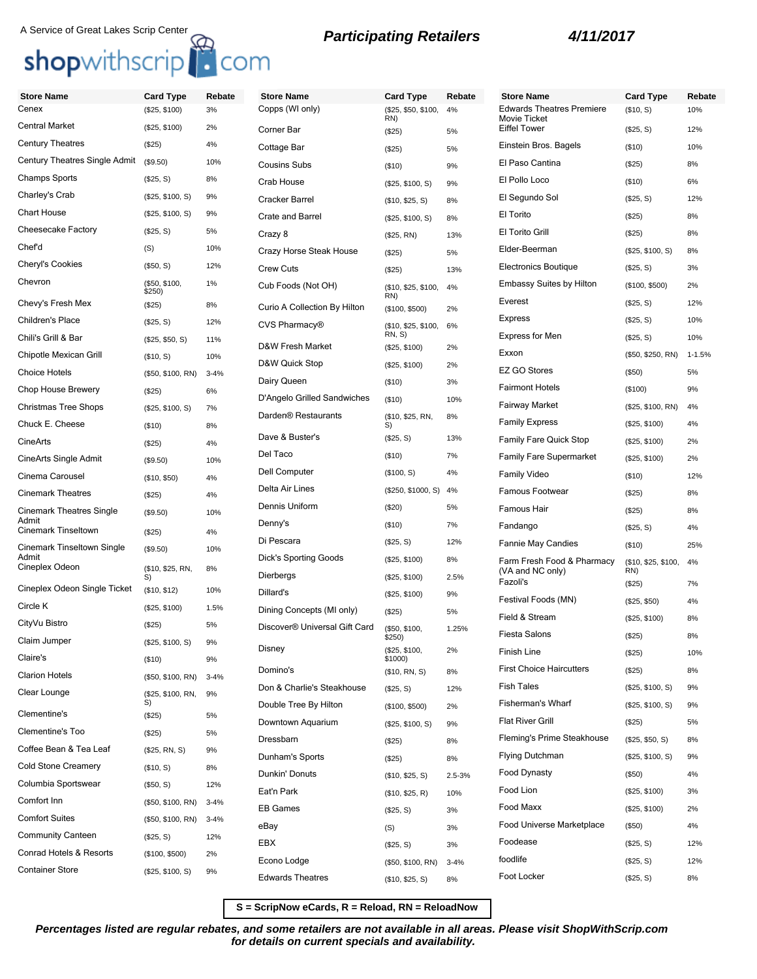## A Service of Great Lakes Scrip Center<br> **Shop**withscrip<br> **COM**

| <b>Store Name</b>               | <b>Card Type</b>        | Rebate   | <b>Store Name</b>                         | <b>Card Type</b>           | Rebate   | <b>Store Name</b>                                | <b>Card Type</b>    | Rebate     |
|---------------------------------|-------------------------|----------|-------------------------------------------|----------------------------|----------|--------------------------------------------------|---------------------|------------|
| Cenex                           | (\$25, \$100)           | 3%       | Copps (WI only)                           | (\$25, \$50, \$100,<br>RN) | 4%       | <b>Edwards Theatres Premiere</b><br>Movie Ticket | (\$10, S)           | 10%        |
| Central Market                  | (\$25, \$100)           | 2%       | Corner Bar                                | (\$25)                     | 5%       | <b>Eiffel Tower</b>                              | (\$25, S)           | 12%        |
| <b>Century Theatres</b>         | (\$25)                  | 4%       | Cottage Bar                               | (\$25)                     | 5%       | Einstein Bros. Bagels                            | (\$10)              | 10%        |
| Century Theatres Single Admit   | (\$9.50)                | 10%      | <b>Cousins Subs</b>                       | (\$10)                     | 9%       | El Paso Cantina                                  | (\$25)              | 8%         |
| Champs Sports                   | (\$25, S)               | 8%       | Crab House                                | (\$25, \$100, S)           | 9%       | El Pollo Loco                                    | (\$10)              | 6%         |
| Charley's Crab                  | (\$25, \$100, S)        | 9%       | Cracker Barrel                            | (\$10, \$25, S)            | 8%       | El Segundo Sol                                   | (\$25, S)           | 12%        |
| Chart House                     | (\$25, \$100, S)        | 9%       | <b>Crate and Barrel</b>                   | (\$25, \$100, S)           | 8%       | El Torito                                        | (\$25)              | 8%         |
| Cheesecake Factory              | (\$25, S)               | 5%       | Crazy 8                                   | (\$25, RN)                 | 13%      | El Torito Grill                                  | (\$25)              | 8%         |
| Chef'd                          | (S)                     | 10%      | Crazy Horse Steak House                   | (\$25)                     | 5%       | Elder-Beerman                                    | (\$25, \$100, S)    | 8%         |
| Cheryl's Cookies                | (\$50, S)               | 12%      | <b>Crew Cuts</b>                          | (\$25)                     | 13%      | <b>Electronics Boutique</b>                      | (\$25, S)           | 3%         |
| Chevron                         | (\$50, \$100,<br>\$250) | 1%       | Cub Foods (Not OH)                        | (\$10, \$25, \$100,        | 4%       | <b>Embassy Suites by Hilton</b>                  | (\$100, \$500)      | 2%         |
| Chevy's Fresh Mex               | (\$25)                  | 8%       | Curio A Collection By Hilton              | RN)<br>(\$100, \$500)      | 2%       | Everest                                          | (\$25, S)           | 12%        |
| Children's Place                | (\$25, S)               | 12%      | CVS Pharmacy®                             | (\$10, \$25, \$100,        | 6%       | <b>Express</b>                                   | (\$25, S)           | 10%        |
| Chili's Grill & Bar             | (\$25, \$50, S)         | 11%      | D&W Fresh Market                          | RN, S                      |          | <b>Express for Men</b>                           | (\$25, S)           | 10%        |
| Chipotle Mexican Grill          | (\$10, S)               | 10%      |                                           | (\$25, \$100)              | 2%       | Exxon                                            | (\$50, \$250, RN)   | $1 - 1.5%$ |
| Choice Hotels                   | (\$50, \$100, RN)       | $3 - 4%$ | D&W Quick Stop                            | (\$25, \$100)              | 2%       | <b>EZ GO Stores</b>                              | (\$50)              | 5%         |
| Chop House Brewery              | (\$25)                  | 6%       | Dairy Queen                               | (\$10)                     | 3%       | <b>Fairmont Hotels</b>                           | (\$100)             | 9%         |
| <b>Christmas Tree Shops</b>     | (\$25, \$100, S)        | 7%       | D'Angelo Grilled Sandwiches               | (\$10)                     | 10%      | <b>Fairway Market</b>                            | (\$25, \$100, RN)   | 4%         |
| Chuck E. Cheese                 | (\$10)                  | 8%       | Darden <sup>®</sup> Restaurants           | (\$10, \$25, RN,<br>S)     | 8%       | <b>Family Express</b>                            | (\$25, \$100)       | 4%         |
| CineArts                        | (\$25)                  | 4%       | Dave & Buster's                           | (\$25, S)                  | 13%      | <b>Family Fare Quick Stop</b>                    | (\$25, \$100)       | 2%         |
| CineArts Single Admit           | (\$9.50)                | 10%      | Del Taco                                  | (\$10)                     | 7%       | <b>Family Fare Supermarket</b>                   | (\$25, \$100)       | 2%         |
| Cinema Carousel                 | (\$10, \$50)            | 4%       | Dell Computer                             | (\$100, S)                 | 4%       | <b>Family Video</b>                              | (\$10)              | 12%        |
| <b>Cinemark Theatres</b>        | (\$25)                  | 4%       | Delta Air Lines                           | (\$250, \$1000, S)         | 4%       | Famous Footwear                                  | (\$25)              | 8%         |
| <b>Cinemark Theatres Single</b> | (\$9.50)                | 10%      | Dennis Uniform                            | (\$20)                     | 5%       | Famous Hair                                      | (\$25)              | 8%         |
| Admit<br>Cinemark Tinseltown    | (\$25)                  | 4%       | Denny's                                   | (\$10)                     | 7%       | Fandango                                         | (\$25, S)           | 4%         |
| Cinemark Tinseltown Single      | (\$9.50)                | 10%      | Di Pescara                                | (\$25, S)                  | 12%      | Fannie May Candies                               | (\$10)              | 25%        |
| Admit<br>Cineplex Odeon         | (\$10, \$25, RN,<br>S)  | 8%       | Dick's Sporting Goods                     | (\$25, \$100)              | 8%       | Farm Fresh Food & Pharmacy                       | (\$10, \$25, \$100, | 4%         |
|                                 |                         |          | Dierbergs                                 | (\$25, \$100)              | 2.5%     | (VA and NC only)<br>Fazoli's                     | RN)<br>(\$25)       | 7%         |
| Cineplex Odeon Single Ticket    | (\$10, \$12)            | 10%      | Dillard's                                 | (\$25, \$100)              | 9%       | Festival Foods (MN)                              | (\$25, \$50)        | 4%         |
| Circle K                        | (\$25, \$100)           | 1.5%     | Dining Concepts (MI only)                 | (\$25)                     | 5%       | Field & Stream                                   | (\$25, \$100)       | 8%         |
| CityVu Bistro                   | (\$25)                  | 5%       | Discover <sup>®</sup> Universal Gift Card | (\$50, \$100,<br>\$250)    | 1.25%    | <b>Fiesta Salons</b>                             | (\$25)              | 8%         |
| Claim Jumper                    | (\$25, \$100, S)        | 9%       | Disney                                    | (\$25, \$100,              | 2%       | Finish Line                                      | (\$25)              | 10%        |
| Claire's                        | (\$10)                  | 9%       | Domino's                                  | \$1000)<br>(\$10, RN, S)   | 8%       | <b>First Choice Haircutters</b>                  | (\$25)              | 8%         |
| <b>Clarion Hotels</b>           | (\$50, \$100, RN)       | $3 - 4%$ | Don & Charlie's Steakhouse                | (\$25, S)                  | 12%      | <b>Fish Tales</b>                                | (\$25, \$100, S)    | 9%         |
| Clear Lounge                    | (\$25, \$100, RN,<br>S) | 9%       | Double Tree By Hilton                     | (\$100, \$500)             | 2%       | <b>Fisherman's Wharf</b>                         | (\$25, \$100, S)    | 9%         |
| Clementine's                    | (\$25)                  | 5%       | Downtown Aquarium                         | (\$25, \$100, S)           | 9%       | <b>Flat River Grill</b>                          | (\$25)              | 5%         |
| Clementine's Too                | (\$25)                  | 5%       | Dressbarn                                 | (\$25)                     | 8%       | Fleming's Prime Steakhouse                       | (\$25, \$50, S)     | 8%         |
| Coffee Bean & Tea Leaf          | (\$25, RN, S)           | 9%       | Dunham's Sports                           |                            | 8%       | <b>Flying Dutchman</b>                           | (\$25, \$100, S)    | 9%         |
| <b>Cold Stone Creamery</b>      | (\$10, S)               | 8%       | Dunkin' Donuts                            | (\$25)                     |          | Food Dynasty                                     | (\$50)              | 4%         |
| Columbia Sportswear             | (\$50, S)               | 12%      | Eat'n Park                                | (\$10, \$25, S)            | 2.5-3%   | Food Lion                                        | (\$25, \$100)       | 3%         |
| Comfort Inn                     | (\$50, \$100, RN)       | $3 - 4%$ | <b>EB Games</b>                           | (\$10, \$25, R)            | 10%      | Food Maxx                                        | (\$25, \$100)       | 2%         |
| <b>Comfort Suites</b>           | (\$50, \$100, RN)       | $3 - 4%$ |                                           | (\$25, S)                  | 3%       | Food Universe Marketplace                        |                     |            |
| <b>Community Canteen</b>        | (\$25, S)               | 12%      | eBay                                      | (S)                        | 3%       | Foodease                                         | (\$50)              | 4%         |
| Conrad Hotels & Resorts         | (\$100, \$500)          | 2%       | EBX                                       | (\$25, S)                  | 3%       | foodlife                                         | (\$25, S)           | 12%        |
| <b>Container Store</b>          | (\$25, \$100, S)        | 9%       | Econo Lodge                               | (\$50, \$100, RN)          | $3 - 4%$ |                                                  | (\$25, S)           | 12%        |
|                                 |                         |          | <b>Edwards Theatres</b>                   | (\$10, \$25, S)            | 8%       | Foot Locker                                      | (\$25, S)           | 8%         |

**S = ScripNow eCards, R = Reload, RN = ReloadNow**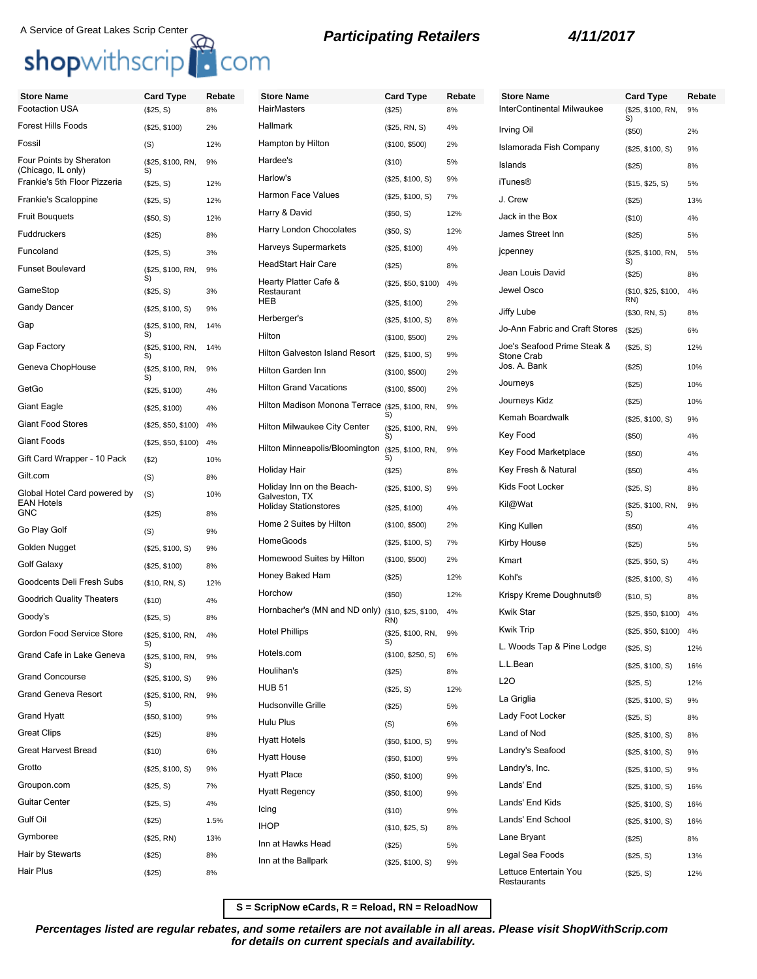# A Service of Great Lakes Scrip Center<br> **Shop**withscrip<sup>1</sup> **COM**<br> **Shopwithscrip**<br> **A COM**

| <b>Store Name</b>                                 | <b>Card Type</b>        | Rebate | <b>Store Name</b>                                                          |
|---------------------------------------------------|-------------------------|--------|----------------------------------------------------------------------------|
| <b>Footaction USA</b>                             | (\$25, S)               | 8%     | <b>HairMasters</b>                                                         |
| <b>Forest Hills Foods</b>                         | (\$25, \$100)           | 2%     | <b>Hallmark</b>                                                            |
| Fossil                                            | (S)                     | 12%    | Hampton by Hilton                                                          |
| Four Points by Sheraton<br>(Chicago, IL only)     | (\$25, \$100, RN,<br>S) | 9%     | Hardee's                                                                   |
| Frankie's 5th Floor Pizzeria                      | (\$25, S)               | 12%    | Harlow's                                                                   |
| Frankie's Scaloppine                              | (\$25, S)               | 12%    | Harmon Face Values                                                         |
| <b>Fruit Bouguets</b>                             | (\$50, S)               | 12%    | Harry & David                                                              |
| <b>Fuddruckers</b>                                | (\$25)                  | 8%     | Harry London Chocolates                                                    |
| Funcoland                                         | (\$25, S)               | 3%     | Harveys Supermarkets                                                       |
| <b>Funset Boulevard</b>                           | (\$25, \$100, RN,       | 9%     | <b>HeadStart Hair Care</b>                                                 |
| GameStop                                          | S)<br>(\$25, S)         | 3%     | Hearty Platter Cafe &<br>Restaurant                                        |
| Gandy Dancer                                      | (\$25, \$100, S)        | 9%     | <b>HEB</b>                                                                 |
| Gap                                               | (\$25, \$100, RN,       | 14%    | Herberger's                                                                |
|                                                   | S)                      |        | Hilton                                                                     |
| <b>Gap Factory</b>                                | (\$25, \$100, RN,<br>S) | 14%    | Hilton Galveston Island Res                                                |
| Geneva ChopHouse                                  | (\$25, \$100, RN,<br>S) | 9%     | Hilton Garden Inn                                                          |
| GetGo                                             | (\$25, \$100)           | 4%     | <b>Hilton Grand Vacations</b>                                              |
| Giant Eagle                                       | (\$25, \$100)           | 4%     | Hilton Madison Monona Te                                                   |
| <b>Giant Food Stores</b>                          | (\$25, \$50, \$100)     | 4%     | <b>Hilton Milwaukee City Cent</b>                                          |
| <b>Giant Foods</b>                                | (\$25, \$50, \$100)     | 4%     | Hilton Minneapolis/Bloomin                                                 |
| Gift Card Wrapper - 10 Pack                       | $($ \$2)                | 10%    |                                                                            |
| Gilt.com                                          | (S)                     | 8%     | Holiday Hair                                                               |
| Global Hotel Card powered by<br><b>EAN Hotels</b> | (S)                     | 10%    | Holiday Inn on the Beach-<br>Galveston, TX<br><b>Holiday Stationstores</b> |
| <b>GNC</b>                                        | (\$25)                  | 8%     | Home 2 Suites by Hilton                                                    |
| Go Play Golf                                      | (S)                     | 9%     | <b>HomeGoods</b>                                                           |
| Golden Nugget                                     | (\$25, \$100, S)        | 9%     | Homewood Suites by Hiltor                                                  |
| Golf Galaxy                                       | (\$25, \$100)           | 8%     | Honey Baked Ham                                                            |
| Goodcents Deli Fresh Subs                         | (\$10, RN, S)           | 12%    | Horchow                                                                    |
| <b>Goodrich Quality Theaters</b>                  | $($ \$10)               | 4%     | Hornbacher's (MN and ND                                                    |
| Goody's                                           | (\$25, S)               | 8%     | <b>Hotel Phillips</b>                                                      |
| Gordon Food Service Store                         | (\$25, \$100, RN,<br>S) | 4%     |                                                                            |
| Grand Cafe in Lake Geneva                         | (\$25, \$100, RN,<br>S) | 9%     | Hotels.com                                                                 |
| <b>Grand Concourse</b>                            | (\$25, \$100, S)        | 9%     | Houlihan's                                                                 |
| <b>Grand Geneva Resort</b>                        | (\$25, \$100, RN,       | 9%     | <b>HUB 51</b>                                                              |
| <b>Grand Hyatt</b>                                | S)<br>(\$50, \$100)     | 9%     | Hudsonville Grille                                                         |
| <b>Great Clips</b>                                | (\$25)                  | 8%     | Hulu Plus                                                                  |
| <b>Great Harvest Bread</b>                        | (\$10)                  | 6%     | <b>Hyatt Hotels</b>                                                        |
| Grotto                                            | (\$25, \$100, S)        | 9%     | <b>Hyatt House</b>                                                         |
| Groupon.com                                       | (\$25, S)               | 7%     | <b>Hyatt Place</b>                                                         |
| <b>Guitar Center</b>                              | (\$25, S)               | 4%     | <b>Hyatt Regency</b>                                                       |
| Gulf Oil                                          | (\$25)                  | 1.5%   | Icing                                                                      |
| Gymboree                                          | (\$25, RN)              | 13%    | <b>IHOP</b>                                                                |
| Hair by Stewarts                                  | $(\$25)$                | 8%     | Inn at Hawks Head                                                          |
| Hair Plus                                         | $(\$25)$                | 8%     | Inn at the Ballpark                                                        |
|                                                   |                         |        |                                                                            |

| <b>Store Name</b>                                 | Card Type                            | Rebate   |
|---------------------------------------------------|--------------------------------------|----------|
| HairMasters                                       | (\$25)                               | 8%       |
| Hallmark                                          | (\$25, RN, S)                        | 4%       |
| Hampton by Hilton                                 | (\$100, \$500)                       | 2%       |
| Hardee's                                          | (\$10)                               | 5%       |
| Harlow's                                          | (\$25, \$100, S)                     | 9%       |
| Harmon Face Values                                | (\$25, \$100, S)                     | 7%       |
| Harry & David                                     | (\$50, S)                            | 12%      |
| Harry London Chocolates                           | (\$50, S)                            | 12%      |
| Harveys Supermarkets                              | (\$25, \$100)                        | 4%       |
| <b>HeadStart Hair Care</b>                        | (\$25)                               | 8%       |
| Hearty Platter Cafe &<br>Restaurant<br>HEB        | (\$25, \$50, \$100)<br>(\$25, \$100) | 4%<br>2% |
| Herberger's                                       |                                      |          |
| Hilton                                            | (\$25, \$100, S)                     | 8%       |
|                                                   | (\$100, \$500)                       | 2%       |
| Hilton Galveston Island Resort                    | (\$25, \$100, S)                     | 9%       |
| Hilton Garden Inn                                 | (\$100, \$500)                       | 2%       |
| <b>Hilton Grand Vacations</b>                     | (\$100, \$500)                       | 2%       |
| Hilton Madison Monona Terrace (\$25, \$100, RN,   | S)                                   | 9%       |
| Hilton Milwaukee City Center                      | (\$25, \$100, RN,<br>S)              | 9%       |
| Hilton Minneapolis/Bloomington                    | (\$25, \$100, RN,<br>S)              | 9%       |
| Holiday Hair                                      | (\$25)                               | 8%       |
| Holiday Inn on the Beach-<br>Galveston, TX        | (\$25, \$100, S)                     | 9%       |
| <b>Holiday Stationstores</b>                      | (\$25, \$100)                        | 4%       |
| Home 2 Suites by Hilton                           | (\$100, \$500)                       | 2%       |
| HomeGoods                                         | (\$25, \$100, S)                     | 7%       |
| Homewood Suites by Hilton                         | (\$100, \$500)                       | 2%       |
| Honey Baked Ham                                   | (\$25)                               | 12%      |
| Horchow                                           | (\$50)                               | 12%      |
| Hornbacher's (MN and ND only) (\$10, \$25, \$100, | RN)                                  | 4%       |
| Hotel Phillips                                    | (\$25, \$100, RN,                    | 9%       |
| Hotels.com                                        | (\$100, \$250, S)                    | 6%       |
| Houlihan's                                        | (\$25)                               | 8%       |
| HUB 51                                            | (\$25, S)                            | 12%      |
| Hudsonville Grille                                | (\$25)                               | 5%       |
| Hulu Plus                                         | (S)                                  | 6%       |
| <b>Hyatt Hotels</b>                               | (\$50, \$100, S)                     | 9%       |
| <b>Hyatt House</b>                                | (\$50, \$100)                        | 9%       |
| <b>Hyatt Place</b>                                | (\$50, \$100)                        | 9%       |
| <b>Hyatt Regency</b>                              | (\$50, \$100)                        | 9%       |
| Icing                                             | (\$10)                               | 9%       |
| IHOP                                              | (\$10, \$25, S)                      | 8%       |
| Inn at Hawks Head                                 | (\$25)                               | 5%       |
| Inn at the Ballpark                               | (\$25, \$100, S)                     | 9%       |
|                                                   |                                      |          |

| <b>Store Name</b>                                | <b>Card Type</b>           | Rebate |
|--------------------------------------------------|----------------------------|--------|
| InterContinental Milwaukee                       | (\$25, \$100, RN,<br>S)    | 9%     |
| Irving Oil                                       | $($ \$50)                  | 2%     |
| Islamorada Fish Company                          | (\$25, \$100, S)           | 9%     |
| Islands                                          | $(\$25)$                   | 8%     |
| iTunes®                                          | (\$15, \$25, S)            | 5%     |
| J. Crew                                          | (\$25)                     | 13%    |
| Jack in the Box                                  | $($ \$10)                  | 4%     |
| James Street Inn                                 | (S25)                      | 5%     |
| jcpenney                                         | (\$25, \$100, RN,<br>S)    | 5%     |
| Jean Louis David                                 | (\$25)                     | 8%     |
| Jewel Osco                                       | (\$10, \$25, \$100,<br>RN) | 4%     |
| Jiffy Lube                                       | (\$30, RN, S)              | 8%     |
| Jo-Ann Fabric and Craft Stores                   | (\$25)                     | 6%     |
| Joe's Seafood Prime Steak &<br><b>Stone Crab</b> | (\$25, S)                  | 12%    |
| Jos. A. Bank                                     | (\$25)                     | 10%    |
| Journeys                                         | (\$25)                     | 10%    |
| Journeys Kidz                                    | (\$25)                     | 10%    |
| Kemah Boardwalk                                  | (\$25, \$100, S)           | 9%     |
| Key Food                                         | $($ \$50)                  | 4%     |
| Key Food Marketplace                             | $(\$50)$                   | 4%     |
| Key Fresh & Natural                              | $($ \$50)                  | 4%     |
| Kids Foot Locker                                 | $(\$25, S)$                | 8%     |
| Kil@Wat                                          | (\$25, \$100, RN,<br>S)    | 9%     |
| King Kullen                                      | $($ \$50)                  | 4%     |
| Kirby House                                      | (\$25)                     | 5%     |
| Kmart                                            | (\$25, \$50, S)            | 4%     |
| Kohl's                                           | (\$25, \$100, S)           | 4%     |
| Krispy Kreme Doughnuts®                          | (\$10, S)                  | 8%     |
| Kwik Star                                        | (\$25, \$50, \$100)        | 4%     |
| Kwik Trip                                        | (\$25, \$50, \$100)        | 4%     |
| L. Woods Tap & Pine Lodge                        | (\$25, S)                  | 12%    |
| L.L.Bean                                         | (\$25, \$100, S)           | 16%    |
| L2O                                              | (\$25, S)                  | 12%    |
| La Griglia                                       | (\$25, \$100, S)           | 9%     |
| Lady Foot Locker                                 | (\$25, S)                  | 8%     |
| Land of Nod                                      | (\$25, \$100, S)           | 8%     |
| Landry's Seafood                                 | (\$25, \$100, S)           | 9%     |
| Landry's, Inc.                                   | (\$25, \$100, S)           | 9%     |
| Lands' End                                       | (\$25, \$100, S)           | 16%    |
| Lands' End Kids                                  | (\$25, \$100, S)           | 16%    |
| Lands' End School                                | (\$25, \$100, S)           | 16%    |
| Lane Bryant                                      | (\$25)                     | 8%     |
| Legal Sea Foods                                  | (\$25, S)                  | 13%    |
| Lettuce Entertain You                            | (\$25, S)                  | 12%    |
| Restaurants                                      |                            |        |

**S = ScripNow eCards, R = Reload, RN = ReloadNow**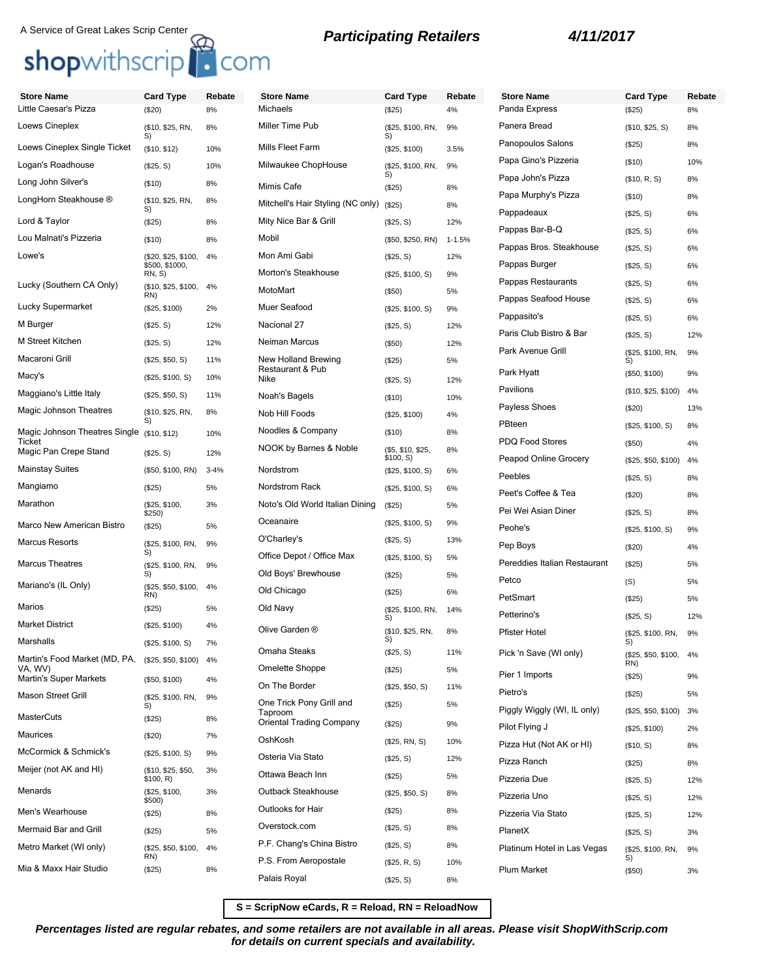## A Service of Great Lakes Scrip Center<br> **Shop**withscrip<br> **COM**

| <b>Store Name</b>                        | Card Type                             | Rebate   | <b>Store Name</b>                          | <b>Card Type</b>              | Rebate     | <b>Store Name</b>                             | <b>Card Type</b>          | Rebate    |
|------------------------------------------|---------------------------------------|----------|--------------------------------------------|-------------------------------|------------|-----------------------------------------------|---------------------------|-----------|
| Little Caesar's Pizza                    | (\$20)                                | 8%       | Michaels                                   | (\$25)                        | 4%         | Panda Express                                 | (\$25)                    | 8%        |
| Loews Cineplex                           | (\$10, \$25, RN,<br>S)                | 8%       | Miller Time Pub                            | (\$25, \$100, RN,<br>S)       | 9%         | Panera Bread                                  | (\$10, \$25, S)           | 8%        |
| Loews Cineplex Single Ticket             | (\$10, \$12)                          | 10%      | Mills Fleet Farm                           | (\$25, \$100)                 | 3.5%       | Panopoulos Salons                             | (\$25)                    | 8%        |
| Logan's Roadhouse                        | (\$25, S)                             | 10%      | Milwaukee ChopHouse                        | (\$25, \$100, RN,             | 9%         | Papa Gino's Pizzeria                          | (\$10)                    | 10%       |
| Long John Silver's                       | (\$10)                                | 8%       | Mimis Cafe                                 | S)<br>(\$25)                  | 8%         | Papa John's Pizza                             | (\$10, R, S)              | 8%        |
| LongHorn Steakhouse ®                    | (\$10, \$25, RN,<br>S)                | 8%       | Mitchell's Hair Styling (NC only)          | (\$25)                        | 8%         | Papa Murphy's Pizza                           | (\$10)                    | 8%        |
| Lord & Taylor                            | (\$25)                                | 8%       | Mity Nice Bar & Grill                      | (\$25, S)                     | 12%        | Pappadeaux                                    | (\$25, S)                 | 6%        |
| Lou Malnati's Pizzeria                   | (\$10)                                | 8%       | Mobil                                      | (\$50, \$250, RN)             | $1 - 1.5%$ | Pappas Bar-B-Q                                | (\$25, S)                 | 6%        |
| Lowe's                                   | (\$20, \$25, \$100,<br>\$500, \$1000, | 4%       | Mon Ami Gabi                               | (\$25, S)                     | 12%        | Pappas Bros. Steakhouse<br>Pappas Burger      | (\$25, S)                 | 6%<br>6%  |
|                                          | RN, S)                                |          | <b>Morton's Steakhouse</b>                 | (\$25, \$100, S)              | 9%         | Pappas Restaurants                            | (\$25, S)                 |           |
| Lucky (Southern CA Only)                 | (\$10, \$25, \$100,<br>RN)            | 4%       | MotoMart                                   | (\$50)                        | 5%         | Pappas Seafood House                          | (\$25, S)                 | 6%        |
| Lucky Supermarket                        | (\$25, \$100)                         | 2%       | Muer Seafood                               | (\$25, \$100, S)              | 9%         | Pappasito's                                   | (\$25, S)                 | 6%        |
| M Burger                                 | (\$25, S)                             | 12%      | Nacional 27                                | (\$25, S)                     | 12%        | Paris Club Bistro & Bar                       | (\$25, S)                 | 6%        |
| M Street Kitchen                         | (\$25, S)                             | 12%      | Neiman Marcus                              | (\$50)                        | 12%        |                                               | (\$25, S)                 | 12%       |
| Macaroni Grill                           | (\$25, \$50, S)                       | 11%      | New Holland Brewing                        | (\$25)                        | 5%         | Park Avenue Grill                             | (\$25, \$100, RN,<br>S)   | 9%        |
| Macy's                                   | (\$25, \$100, S)                      | 10%      | Restaurant & Pub<br>Nike                   | (\$25, S)                     | 12%        | Park Hyatt                                    | (\$50, \$100)             | 9%        |
| Maggiano's Little Italy                  | (\$25, \$50, S)                       | 11%      | Noah's Bagels                              | (\$10)                        | 10%        | Pavilions                                     | (\$10, \$25, \$100)       | 4%        |
| Magic Johnson Theatres                   | (\$10, \$25, RN,                      | 8%       | Nob Hill Foods                             | (\$25, \$100)                 | 4%         | Payless Shoes                                 | (\$20)                    | 13%       |
| Magic Johnson Theatres Single            | S)<br>(\$10, \$12)                    | 10%      | Noodles & Company                          | (\$10)                        | 8%         | PBteen                                        | (\$25, \$100, S)          | 8%        |
| Ticket<br>Magic Pan Crepe Stand          | (\$25, S)                             | 12%      | NOOK by Barnes & Noble                     | (\$5, \$10, \$25,             | 8%         | PDQ Food Stores                               | (\$50)                    | 4%        |
| <b>Mainstay Suites</b>                   | (\$50, \$100, RN)                     | $3 - 4%$ | Nordstrom                                  | \$100, S)<br>(\$25, \$100, S) | 6%         | Peapod Online Grocery<br>Peebles              | (\$25, \$50, \$100)       | 4%        |
| Mangiamo                                 | (\$25)                                | 5%       | Nordstrom Rack                             | (\$25, \$100, S)              | 6%         | Peet's Coffee & Tea                           | (\$25, S)                 | 8%        |
| Marathon                                 | (\$25, \$100,<br>\$250)               | 3%       | Noto's Old World Italian Dining            | (\$25)                        | 5%         | Pei Wei Asian Diner                           | (\$20)<br>(\$25, S)       | 8%<br>8%  |
| Marco New American Bistro                | (\$25)                                | 5%       | Oceanaire                                  | (\$25, \$100, S)              | 9%         | Peohe's                                       | (\$25, \$100, S)          | 9%        |
| Marcus Resorts                           | (\$25, \$100, RN,                     | 9%       | O'Charley's                                | (\$25, S)                     | 13%        | Pep Boys                                      | (\$20)                    | 4%        |
| <b>Marcus Theatres</b>                   | S)<br>(\$25, \$100, RN,               | 9%       | Office Depot / Office Max                  | (\$25, \$100, S)              | 5%         | Pereddies Italian Restaurant                  | (\$25)                    | 5%        |
|                                          | S)                                    |          | Old Boys' Brewhouse                        | (\$25)                        | 5%         | Petco                                         | (S)                       | 5%        |
| Mariano's (IL Only)                      | (\$25, \$50, \$100,<br>RN)            | 4%       | Old Chicago                                | (\$25)                        | 6%         | PetSmart                                      | (\$25)                    | 5%        |
| Marios                                   | (\$25)                                | 5%       | Old Navy                                   | (\$25, \$100, RN,<br>S)       | 14%        | Petterino's                                   | (\$25, S)                 | 12%       |
| <b>Market District</b>                   | (\$25, \$100)                         | 4%       | Olive Garden ®                             | (\$10, \$25, RN,              | 8%         | <b>Pfister Hotel</b>                          | (\$25, \$100, RN,         | 9%        |
| Marshalls                                | (\$25, \$100, S)                      | 7%       | Omaha Steaks                               | S)<br>(\$25, S)               | 11%        | Pick 'n Save (WI only)                        | S)<br>(\$25, \$50, \$100, | 4%        |
| Martin's Food Market (MD, PA,<br>VA, WV) | (\$25, \$50, \$100) 4%                |          | Omelette Shoppe                            | (\$25)                        | 5%         |                                               | RN)                       |           |
| <b>Martin's Super Markets</b>            | (\$50, \$100)                         | 4%       | On The Border                              | (\$25, \$50, S)               | 11%        | Pier 1 Imports                                | (\$25)                    | 9%        |
| <b>Mason Street Grill</b>                | (\$25, \$100, RN,<br>S)               | 9%       | One Trick Pony Grill and                   | (\$25)                        | 5%         | Pietro's                                      | (\$25)                    | 5%        |
| <b>MasterCuts</b>                        | (\$25)                                | 8%       | Taproom<br><b>Oriental Trading Company</b> | (\$25)                        | 9%         | Piggly Wiggly (WI, IL only)<br>Pilot Flying J | (\$25, \$50, \$100)       | 3%        |
| Maurices                                 | (\$20)                                | 7%       | OshKosh                                    | (\$25, RN, S)                 | 10%        | Pizza Hut (Not AK or HI)                      | (\$25, \$100)             | 2%<br>8%  |
| McCormick & Schmick's                    | (\$25, \$100, S)                      | 9%       | Osteria Via Stato                          | (\$25, S)                     | 12%        | Pizza Ranch                                   | (\$10, S)                 |           |
| Meijer (not AK and HI)                   | (\$10, \$25, \$50,<br>\$100, R)       | 3%       | Ottawa Beach Inn                           | (\$25)                        | 5%         | Pizzeria Due                                  | (\$25)<br>(\$25, S)       | 8%<br>12% |
| Menards                                  | (\$25, \$100,                         | 3%       | Outback Steakhouse                         | (\$25, \$50, S)               | 8%         | Pizzeria Uno                                  | (\$25, S)                 | 12%       |
| Men's Wearhouse                          | \$500)<br>(\$25)                      | 8%       | Outlooks for Hair                          | (\$25)                        | 8%         | Pizzeria Via Stato                            | (\$25, S)                 | 12%       |
| Mermaid Bar and Grill                    | (\$25)                                | 5%       | Overstock.com                              | (\$25, S)                     | 8%         | PlanetX                                       | (\$25, S)                 | 3%        |
| Metro Market (WI only)                   | (\$25, \$50, \$100,                   | 4%       | P.F. Chang's China Bistro                  | (\$25, S)                     | 8%         | Platinum Hotel in Las Vegas                   | (\$25, \$100, RN,         | 9%        |
| Mia & Maxx Hair Studio                   | RN)                                   |          | P.S. From Aeropostale                      | (\$25, R, S)                  | 10%        |                                               | S)                        |           |
|                                          | (\$25)                                | 8%       | Palais Royal                               | (\$25, S)                     | 8%         | Plum Market                                   | (\$50)                    | 3%        |

**S = ScripNow eCards, R = Reload, RN = ReloadNow**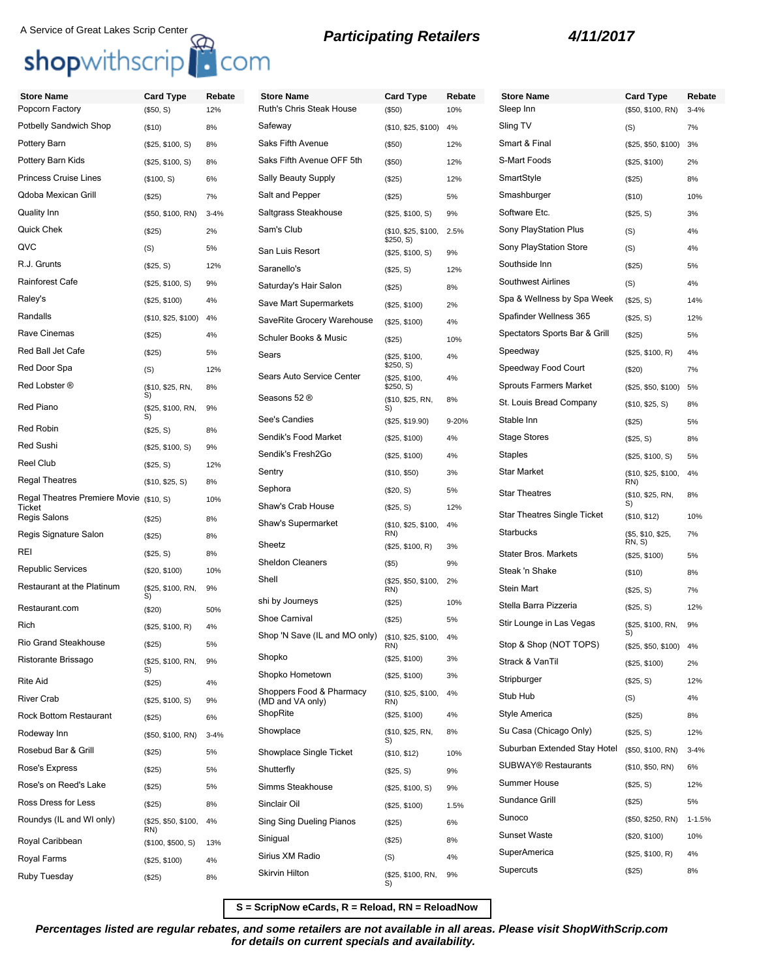## A Service of Great Lakes Scrip Center<br> **Shop**withscrip<br> **COM**

| <b>Store Name</b>                       | <b>Card Type</b>         | Rebate   | <b>Store Name</b>                            | <b>Card Type</b>                 | Rebate | <b>Store Name</b>             | <b>Card Type</b>           | Rebate     |
|-----------------------------------------|--------------------------|----------|----------------------------------------------|----------------------------------|--------|-------------------------------|----------------------------|------------|
| Popcorn Factory                         | (\$50, S)                | 12%      | Ruth's Chris Steak House                     | (\$50)                           | 10%    | Sleep Inn                     | (\$50, \$100, RN)          | $3 - 4%$   |
| Potbelly Sandwich Shop                  | (\$10)                   | 8%       | Safeway                                      | (\$10, \$25, \$100)              | 4%     | Sling TV                      | (S)                        | 7%         |
| Pottery Barn                            | (\$25, \$100, S)         | 8%       | Saks Fifth Avenue                            | (\$50)                           | 12%    | Smart & Final                 | (\$25, \$50, \$100)        | 3%         |
| Pottery Barn Kids                       | (\$25, \$100, S)         | 8%       | Saks Fifth Avenue OFF 5th                    | (\$50)                           | 12%    | S-Mart Foods                  | (\$25, \$100)              | 2%         |
| <b>Princess Cruise Lines</b>            | (\$100, S)               | 6%       | <b>Sally Beauty Supply</b>                   | (\$25)                           | 12%    | SmartStyle                    | (\$25)                     | 8%         |
| Qdoba Mexican Grill                     | (\$25)                   | 7%       | Salt and Pepper                              | (\$25)                           | 5%     | Smashburger                   | (\$10)                     | 10%        |
| Quality Inn                             | (\$50, \$100, RN)        | $3 - 4%$ | Saltgrass Steakhouse                         | (\$25, \$100, S)                 | 9%     | Software Etc.                 | (\$25, S)                  | 3%         |
| <b>Quick Chek</b>                       | (\$25)                   | 2%       | Sam's Club                                   | (\$10, \$25, \$100,<br>\$250, S) | 2.5%   | Sony PlayStation Plus         | (S)                        | 4%         |
| QVC                                     | (S)                      | 5%       | San Luis Resort                              | (\$25, \$100, S)                 | 9%     | <b>Sony PlayStation Store</b> | (S)                        | 4%         |
| R.J. Grunts                             | (\$25, S)                | 12%      | Saranello's                                  | (\$25, S)                        | 12%    | Southside Inn                 | (\$25)                     | 5%         |
| Rainforest Cafe                         | (\$25, \$100, S)         | 9%       | Saturday's Hair Salon                        | (\$25)                           | 8%     | Southwest Airlines            | (S)                        | 4%         |
| Raley's                                 | (\$25, \$100)            | 4%       | Save Mart Supermarkets                       | (\$25, \$100)                    | 2%     | Spa & Wellness by Spa Week    | (\$25, S)                  | 14%        |
| Randalls                                | (\$10, \$25, \$100)      | 4%       | SaveRite Grocery Warehouse                   | (\$25, \$100)                    | 4%     | Spafinder Wellness 365        | (\$25, S)                  | 12%        |
| Rave Cinemas                            | (\$25)                   | 4%       | Schuler Books & Music                        | (\$25)                           | 10%    | Spectators Sports Bar & Grill | (\$25)                     | 5%         |
| Red Ball Jet Cafe                       | (\$25)                   | 5%       | Sears                                        | (\$25, \$100,                    | 4%     | Speedway                      | (\$25, \$100, R)           | 4%         |
| Red Door Spa                            | (S)                      | 12%      | Sears Auto Service Center                    | \$250, S)<br>(\$25, \$100,       | 4%     | Speedway Food Court           | (\$20)                     | 7%         |
| Red Lobster ®                           | (\$10, \$25, RN,<br>S)   | 8%       |                                              | \$250, S)                        |        | <b>Sprouts Farmers Market</b> | (\$25, \$50, \$100)        | 5%         |
| Red Piano                               | (\$25, \$100, RN,        | 9%       | Seasons 52 ®                                 | (\$10, \$25, RN,<br>S)           | 8%     | St. Louis Bread Company       | (\$10, \$25, S)            | 8%         |
| Red Robin                               | S)<br>(\$25, S)          | 8%       | See's Candies                                | (\$25, \$19.90)                  | 9-20%  | Stable Inn                    | (\$25)                     | 5%         |
| <b>Red Sushi</b>                        | (\$25, \$100, S)         | 9%       | Sendik's Food Market                         | (\$25, \$100)                    | 4%     | <b>Stage Stores</b>           | (\$25, S)                  | 8%         |
| <b>Reel Club</b>                        | (\$25, S)                | 12%      | Sendik's Fresh2Go                            | (\$25, \$100)                    | 4%     | <b>Staples</b>                | (\$25, \$100, S)           | 5%         |
| <b>Regal Theatres</b>                   | (\$10, \$25, S)          | 8%       | Sentry                                       | (\$10, \$50)                     | 3%     | <b>Star Market</b>            | (\$10, \$25, \$100,<br>RN) | 4%         |
| Regal Theatres Premiere Movie (\$10, S) |                          | 10%      | Sephora                                      | (\$20, S)                        | 5%     | <b>Star Theatres</b>          | (\$10, \$25, RN,           | 8%         |
| Ticket<br>Regis Salons                  |                          |          | Shaw's Crab House                            | (\$25, S)                        | 12%    | Star Theatres Single Ticket   | S)<br>(\$10, \$12)         | 10%        |
| Regis Signature Salon                   | (\$25)                   | 8%       | Shaw's Supermarket                           | (\$10, \$25, \$100,<br>RN)       | 4%     | Starbucks                     | (\$5, \$10, \$25,          | 7%         |
| REI                                     | (\$25)                   | 8%       | Sheetz                                       | (\$25, \$100, R)                 | 3%     |                               | RN, S                      |            |
| <b>Republic Services</b>                | (\$25, S)                | 8%       | <b>Sheldon Cleaners</b>                      | $($ \$5)                         | 9%     | <b>Stater Bros. Markets</b>   | (\$25, \$100)              | 5%         |
| Restaurant at the Platinum              | (\$20, \$100)            | 10%      | Shell                                        | (\$25, \$50, \$100,              | 2%     | Steak 'n Shake                | (\$10)                     | 8%         |
|                                         | (\$25, \$100, RN,<br>S)  | 9%       | shi by Journeys                              | RN)<br>(\$25)                    | 10%    | Stein Mart                    | (\$25, S)                  | 7%         |
| Restaurant.com                          | (\$20)                   | 50%      | Shoe Carnival                                | (\$25)                           | 5%     | Stella Barra Pizzeria         | (\$25, S)                  | 12%        |
| Rich                                    | (\$25, \$100, R)         | 4%       | Shop 'N Save (IL and MO only)                | (\$10, \$25, \$100,              | 4%     | Stir Lounge in Las Vegas      | (\$25, \$100, RN,<br>S)    | 9%         |
| <b>Rio Grand Steakhouse</b>             | (\$25)                   | 5%       |                                              | RN)                              |        | Stop & Shop (NOT TOPS)        | (\$25, \$50, \$100) 4%     |            |
| Ristorante Brissago                     | (\$25, \$100, RN,<br>S)  | 9%       | Shopko                                       | (\$25, \$100)                    | 3%     | Strack & VanTil               | (\$25, \$100)              | 2%         |
| <b>Rite Aid</b>                         | (\$25)                   | 4%       | Shopko Hometown                              | (\$25, \$100)                    | 3%     | Stripburger                   | (\$25, S)                  | 12%        |
| <b>River Crab</b>                       | (\$25, \$100, S)         | 9%       | Shoppers Food & Pharmacy<br>(MD and VA only) | (\$10, \$25, \$100,<br>RN)       | 4%     | Stub Hub                      | (S)                        | 4%         |
| <b>Rock Bottom Restaurant</b>           | (\$25)                   | 6%       | ShopRite                                     | (\$25, \$100)                    | 4%     | Style America                 | (\$25)                     | 8%         |
| Rodeway Inn                             | (\$50, \$100, RN)        | $3 - 4%$ | Showplace                                    | (\$10, \$25, RN,<br>S)           | 8%     | Su Casa (Chicago Only)        | (\$25, S)                  | 12%        |
| Rosebud Bar & Grill                     | (\$25)                   | 5%       | Showplace Single Ticket                      | (\$10, \$12)                     | 10%    | Suburban Extended Stay Hotel  | (\$50, \$100, RN)          | $3 - 4%$   |
| Rose's Express                          | (\$25)                   | 5%       | Shutterfly                                   | (\$25, S)                        | 9%     | <b>SUBWAY® Restaurants</b>    | (\$10, \$50, RN)           | 6%         |
| Rose's on Reed's Lake                   | (\$25)                   | 5%       | Simms Steakhouse                             | (\$25, \$100, S)                 | 9%     | Summer House                  | (\$25, S)                  | 12%        |
| Ross Dress for Less                     | (\$25)                   | 8%       | Sinclair Oil                                 | (\$25, \$100)                    | 1.5%   | Sundance Grill                | (\$25)                     | 5%         |
| Roundys (IL and WI only)                | (\$25, \$50, \$100, 4%   |          | Sing Sing Dueling Pianos                     | (\$25)                           | 6%     | Sunoco                        | (\$50, \$250, RN)          | $1 - 1.5%$ |
| Royal Caribbean                         | RN)<br>(\$100, \$500, S) | 13%      | Sinigual                                     | (\$25)                           | 8%     | <b>Sunset Waste</b>           | (\$20, \$100)              | 10%        |
| Royal Farms                             | (\$25, \$100)            | 4%       | Sirius XM Radio                              | (S)                              | 4%     | SuperAmerica                  | (\$25, \$100, R)           | 4%         |
| Ruby Tuesday                            | (\$25)                   | 8%       | Skirvin Hilton                               | (\$25, \$100, RN,                | 9%     | Supercuts                     | (\$25)                     | 8%         |
|                                         |                          |          |                                              | S)                               |        |                               |                            |            |

**S = ScripNow eCards, R = Reload, RN = ReloadNow**